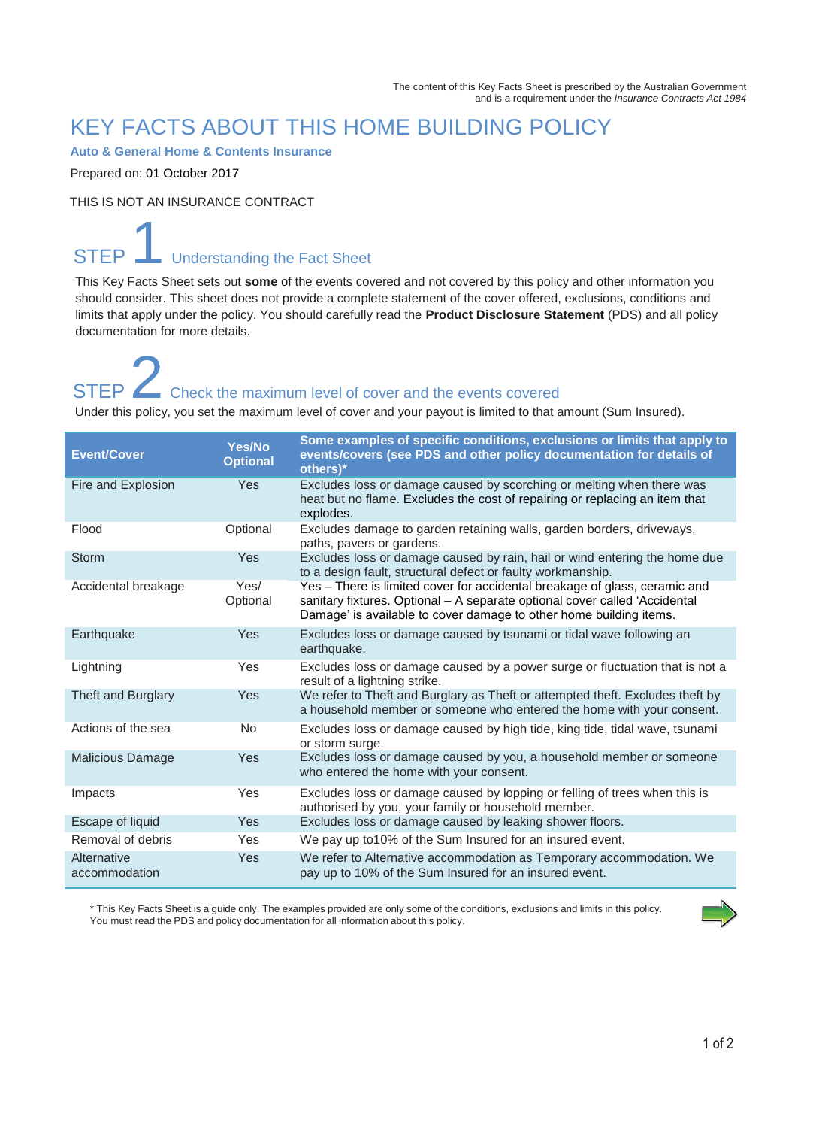### KEY FACTS ABOUT THIS HOME BUILDING POLICY

**Auto & General Home & Contents Insurance**

Prepared on: 01 October 2017

THIS IS NOT AN INSURANCE CONTRACT

### **STEP** Understanding the Fact Sheet

This Key Facts Sheet sets out **some** of the events covered and not covered by this policy and other information you should consider. This sheet does not provide a complete statement of the cover offered, exclusions, conditions and limits that apply under the policy. You should carefully read the **Product Disclosure Statement** (PDS) and all policy documentation for more details.

# STEP **2** Check the maximum level of cover and the events covered

Under this policy, you set the maximum level of cover and your payout is limited to that amount (Sum Insured).

| <b>Event/Cover</b>           | Yes/No<br><b>Optional</b> | Some examples of specific conditions, exclusions or limits that apply to<br>events/covers (see PDS and other policy documentation for details of<br>others)*                                                                   |
|------------------------------|---------------------------|--------------------------------------------------------------------------------------------------------------------------------------------------------------------------------------------------------------------------------|
| Fire and Explosion           | Yes                       | Excludes loss or damage caused by scorching or melting when there was<br>heat but no flame. Excludes the cost of repairing or replacing an item that<br>explodes.                                                              |
| Flood                        | Optional                  | Excludes damage to garden retaining walls, garden borders, driveways,<br>paths, pavers or gardens.                                                                                                                             |
| <b>Storm</b>                 | Yes                       | Excludes loss or damage caused by rain, hail or wind entering the home due<br>to a design fault, structural defect or faulty workmanship.                                                                                      |
| Accidental breakage          | Yes/<br>Optional          | Yes - There is limited cover for accidental breakage of glass, ceramic and<br>sanitary fixtures. Optional - A separate optional cover called 'Accidental<br>Damage' is available to cover damage to other home building items. |
| Earthquake                   | Yes                       | Excludes loss or damage caused by tsunami or tidal wave following an<br>earthquake.                                                                                                                                            |
| Lightning                    | Yes                       | Excludes loss or damage caused by a power surge or fluctuation that is not a<br>result of a lightning strike.                                                                                                                  |
| Theft and Burglary           | Yes                       | We refer to Theft and Burglary as Theft or attempted theft. Excludes theft by<br>a household member or someone who entered the home with your consent.                                                                         |
| Actions of the sea           | No                        | Excludes loss or damage caused by high tide, king tide, tidal wave, tsunami<br>or storm surge.                                                                                                                                 |
| Malicious Damage             | Yes                       | Excludes loss or damage caused by you, a household member or someone<br>who entered the home with your consent.                                                                                                                |
| Impacts                      | Yes                       | Excludes loss or damage caused by lopping or felling of trees when this is<br>authorised by you, your family or household member.                                                                                              |
| Escape of liquid             | Yes                       | Excludes loss or damage caused by leaking shower floors.                                                                                                                                                                       |
| Removal of debris            | Yes                       | We pay up to 10% of the Sum Insured for an insured event.                                                                                                                                                                      |
| Alternative<br>accommodation | Yes                       | We refer to Alternative accommodation as Temporary accommodation. We<br>pay up to 10% of the Sum Insured for an insured event.                                                                                                 |

\* This Key Facts Sheet is a guide only. The examples provided are only some of the conditions, exclusions and limits in this policy. You must read the PDS and policy documentation for all information about this policy.